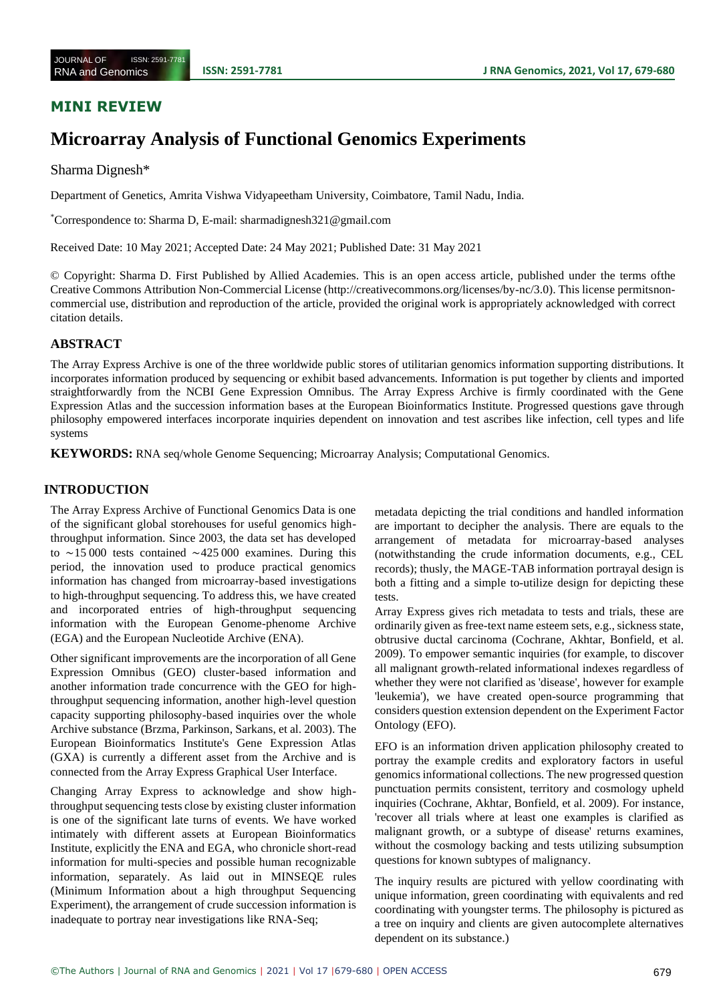# **MINI REVIEW**

# **Microarray Analysis of Functional Genomics Experiments**

#### Sharma Dignesh\*

Department of Genetics, Amrita Vishwa Vidyapeetham University, Coimbatore, Tamil Nadu, India.

\*Correspondence to: Sharma D, E-mail: sharmadignesh321@gmail.com

Received Date: 10 May 2021; Accepted Date: 24 May 2021; Published Date: 31 May 2021

© Copyright: Sharma D. First Published by Allied Academies. This is an open access article, published under the terms ofthe Creative Commons Attribution Non-Commercial License [\(http://creativecommons.org/licenses/by-nc/3.0\). T](http://creativecommons.org/licenses/by-nc/3.0))his license permitsnoncommercial use, distribution and reproduction of the article, provided the original work is appropriately acknowledged with correct citation details.

### **ABSTRACT**

The Array Express Archive is one of the three worldwide public stores of utilitarian genomics information supporting distributions. It incorporates information produced by sequencing or exhibit based advancements. Information is put together by clients and imported straightforwardly from the NCBI Gene Expression Omnibus. The Array Express Archive is firmly coordinated with the Gene Expression Atlas and the succession information bases at the European Bioinformatics Institute. Progressed questions gave through philosophy empowered interfaces incorporate inquiries dependent on innovation and test ascribes like infection, cell types and life systems

**KEYWORDS:** RNA seq/whole Genome Sequencing; Microarray Analysis; Computational Genomics.

## **INTRODUCTION**

The Array Express Archive of Functional Genomics Data is one of the significant global storehouses for useful genomics highthroughput information. Since 2003, the data set has developed to ∼15 000 tests contained ∼425 000 examines. During this period, the innovation used to produce practical genomics information has changed from microarray-based investigations to high-throughput sequencing. To address this, we have created and incorporated entries of high-throughput sequencing information with the European Genome-phenome Archive (EGA) and the European Nucleotide Archive (ENA).

Other significant improvements are the incorporation of all Gene Expression Omnibus (GEO) cluster-based information and another information trade concurrence with the GEO for highthroughput sequencing information, another high-level question capacity supporting philosophy-based inquiries over the whole Archive substance (Brzma, Parkinson, Sarkans, et al. 2003). The European Bioinformatics Institute's Gene Expression Atlas (GXA) is currently a different asset from the Archive and is connected from the Array Express Graphical User Interface.

Changing Array Express to acknowledge and show highthroughput sequencing tests close by existing cluster information is one of the significant late turns of events. We have worked intimately with different assets at European Bioinformatics Institute, explicitly the ENA and EGA, who chronicle short-read information for multi-species and possible human recognizable information, separately. As laid out in MINSEQE rules (Minimum Information about a high throughput Sequencing Experiment), the arrangement of crude succession information is inadequate to portray near investigations like RNA-Seq;

metadata depicting the trial conditions and handled information are important to decipher the analysis. There are equals to the arrangement of metadata for microarray-based analyses (notwithstanding the crude information documents, e.g., CEL records); thusly, the MAGE-TAB information portrayal design is both a fitting and a simple to-utilize design for depicting these tests.

Array Express gives rich metadata to tests and trials, these are ordinarily given as free-text name esteem sets, e.g., sickness state, obtrusive ductal carcinoma (Cochrane, Akhtar, Bonfield, et al. 2009). To empower semantic inquiries (for example, to discover all malignant growth-related informational indexes regardless of whether they were not clarified as 'disease', however for example 'leukemia'), we have created open-source programming that considers question extension dependent on the Experiment Factor Ontology (EFO).

EFO is an information driven application philosophy created to portray the example credits and exploratory factors in useful genomics informational collections. The new progressed question punctuation permits consistent, territory and cosmology upheld inquiries (Cochrane, Akhtar, Bonfield, et al. 2009). For instance, 'recover all trials where at least one examples is clarified as malignant growth, or a subtype of disease' returns examines, without the cosmology backing and tests utilizing subsumption questions for known subtypes of malignancy.

The inquiry results are pictured with yellow coordinating with unique information, green coordinating with equivalents and red coordinating with youngster terms. The philosophy is pictured as a tree on inquiry and clients are given autocomplete alternatives dependent on its substance.)